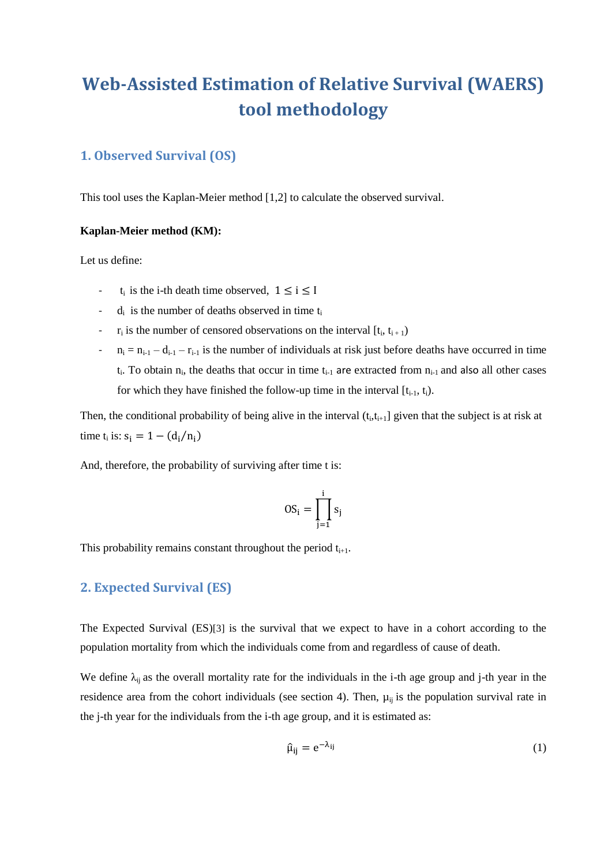# **Web-Assisted Estimation of Relative Survival (WAERS) tool methodology**

# **1. Observed Survival (OS)**

This tool uses the Kaplan-Meier method [1,2] to calculate the observed survival.

#### **Kaplan-Meier method (KM):**

Let us define:

- $t_i$  is the i-th death time observed,  $1 \le i \le I$
- $-d_i$  is the number of deaths observed in time  $t_i$
- $r_i$  is the number of censored observations on the interval  $[t_i, t_{i+1})$
- $n_i = n_{i-1} d_{i-1} r_{i-1}$  is the number of individuals at risk just before deaths have occurred in time  $t_i$ . To obtain  $n_i$ , the deaths that occur in time  $t_{i-1}$  are extracted from  $n_{i-1}$  and also all other cases for which they have finished the follow-up time in the interval  $[t_{i-1}, t_i)$ .

Then, the conditional probability of being alive in the interval  $(t_i, t_{i+1}]$  given that the subject is at risk at time  $t_i$  is:  $s_i = 1 - (d_i/n_i)$ 

And, therefore, the probability of surviving after time t is:

$$
OS_i = \prod_{j=1}^i s_j
$$

This probability remains constant throughout the period  $t_{i+1}$ .

## **2. Expected Survival (ES)**

The Expected Survival (ES)[3] is the survival that we expect to have in a cohort according to the population mortality from which the individuals come from and regardless of cause of death.

We define  $\lambda_{ij}$  as the overall mortality rate for the individuals in the i-th age group and j-th year in the residence area from the cohort individuals (see section 4). Then,  $\mu_{ij}$  is the population survival rate in the j-th year for the individuals from the i-th age group, and it is estimated as:

$$
\hat{\mu}_{ij} = e^{-\lambda_{ij}} \tag{1}
$$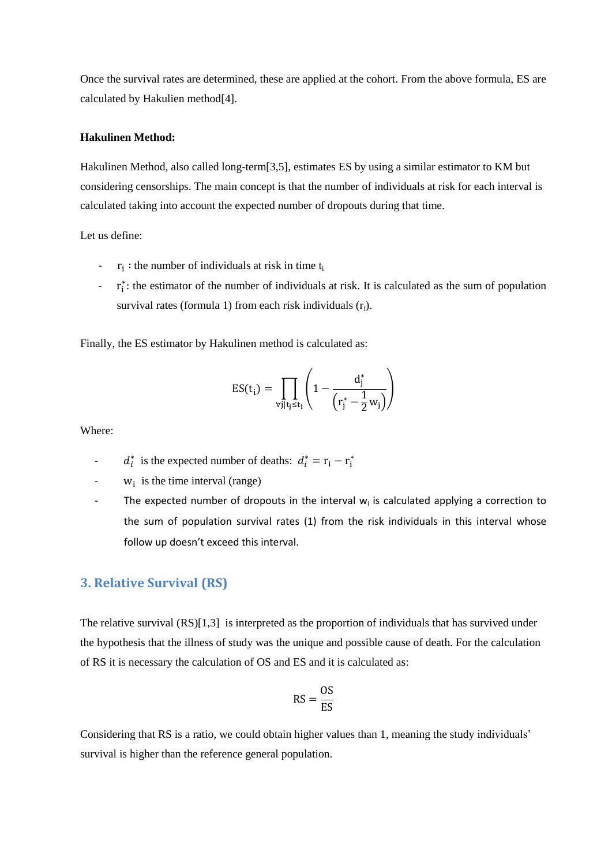Once the survival rates are determined, these are applied at the cohort. From the above formula, ES are calculated by Hakulien method[4].

#### **Hakulinen Method:**

Hakulinen Method, also called long-term[3,5], estimates ES by using a similar estimator to KM but considering censorships. The main concept is that the number of individuals at risk for each interval is calculated taking into account the expected number of dropouts during that time.

Let us define:

- $r_i$ : the number of individuals at risk in time  $t_i$
- ∙ r<sub>i</sub><sup>\*</sup>: the estimator of the number of individuals at risk. It is calculated as the sum of population survival rates (formula 1) from each risk individuals  $(r_i)$ .

Finally, the ES estimator by Hakulinen method is calculated as:

$$
ES(t_i) = \prod_{\forall j \mid t_j \le t_i} \left( 1 - \frac{d_j^*}{\left(r_j^* - \frac{1}{2}w_j\right)} \right)
$$

Where:

- $d_i^*$  is the expected number of deaths:  $d_i^* = r_i r_i^*$
- $w_i$  is the time interval (range)
- The expected number of dropouts in the interval  $w_i$  is calculated applying a correction to the sum of population survival rates (1) from the risk individuals in this interval whose follow up doesn't exceed this interval.

## **3. Relative Survival (RS)**

The relative survival (RS)[1,3] is interpreted as the proportion of individuals that has survived under the hypothesis that the illness of study was the unique and possible cause of death. For the calculation of RS it is necessary the calculation of OS and ES and it is calculated as:

$$
RS = \frac{OS}{ES}
$$

Considering that RS is a ratio, we could obtain higher values than 1, meaning the study individuals' survival is higher than the reference general population.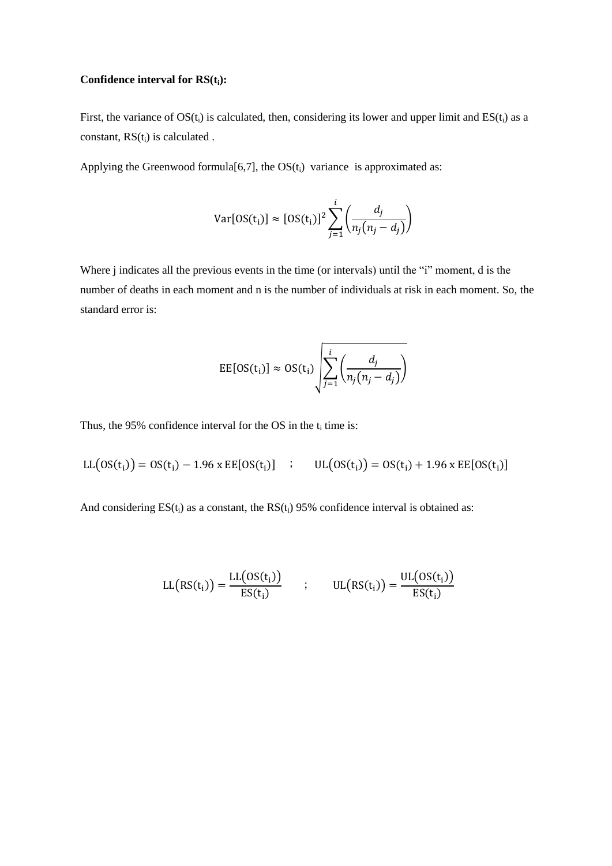### **Confidence interval for RS(ti):**

First, the variance of  $OS(t_i)$  is calculated, then, considering its lower and upper limit and  $ES(t_i)$  as a constant,  $RS(t_i)$  is calculated .

Applying the Greenwood formula $[6,7]$ , the  $OS(t_i)$  variance is approximated as:

$$
Var[OS(t_i)] \approx [OS(t_i)]^2 \sum_{j=1}^{i} \left( \frac{d_j}{n_j(n_j - d_j)} \right)
$$

Where *j* indicates all the previous events in the time (or intervals) until the "*i*" moment, d is the number of deaths in each moment and n is the number of individuals at risk in each moment. So, the standard error is:

$$
EE[OS(t_i)] \approx OS(t_i) \sqrt{\sum_{j=1}^{i} \left( \frac{d_j}{n_j(n_j - d_j)} \right)}
$$

Thus, the 95% confidence interval for the OS in the  $t_i$  time is:

$$
LL(OS(t_i)) = OS(t_i) - 1.96 \times EE[OS(t_i)] \quad ; \quad UL(OS(t_i)) = OS(t_i) + 1.96 \times EE[OS(t_i)]
$$

And considering  $ES(t_i)$  as a constant, the  $RS(t_i)$  95% confidence interval is obtained as:

$$
LL(RS(t_i)) = \frac{LL(OS(t_i))}{ES(t_i)} \qquad ; \qquad UL(RS(t_i)) = \frac{UL(OS(t_i))}{ES(t_i)}
$$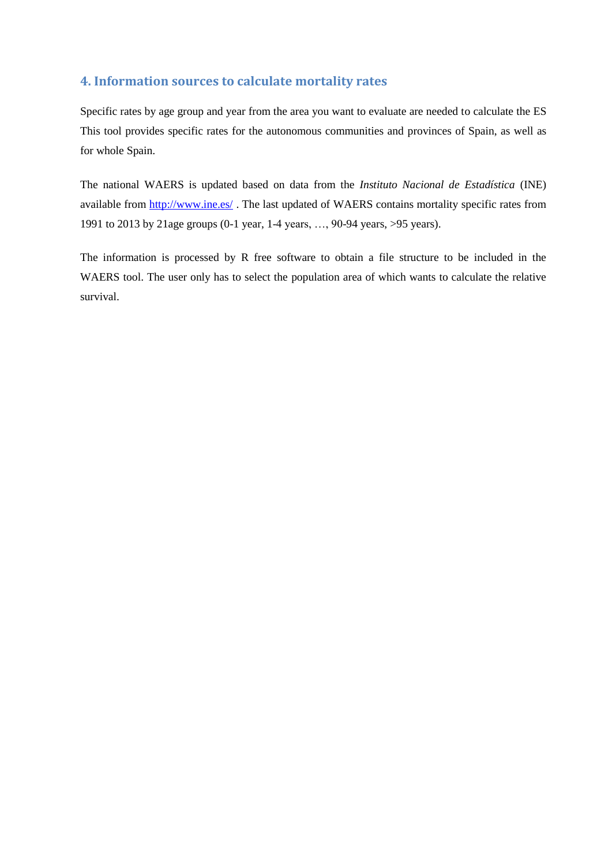# **4. Information sources to calculate mortality rates**

Specific rates by age group and year from the area you want to evaluate are needed to calculate the ES This tool provides specific rates for the autonomous communities and provinces of Spain, as well as for whole Spain.

The national WAERS is updated based on data from the *Instituto Nacional de Estadística* (INE) available from<http://www.ine.es/> . The last updated of WAERS contains mortality specific rates from 1991 to 2013 by 21age groups (0-1 year, 1-4 years, …, 90-94 years, >95 years).

The information is processed by R free software to obtain a file structure to be included in the WAERS tool. The user only has to select the population area of which wants to calculate the relative survival.